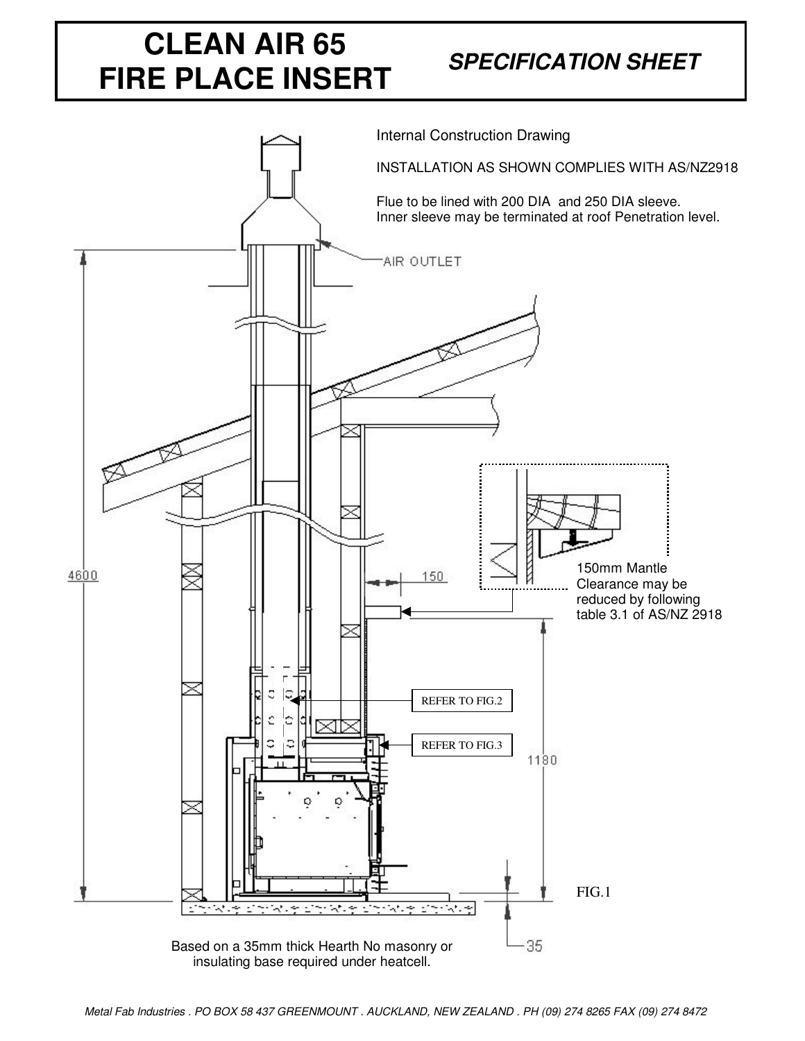## **CLEAN AIR 65 FIRE PLACE INSERT**

## *SPECIFICATION SHEET*

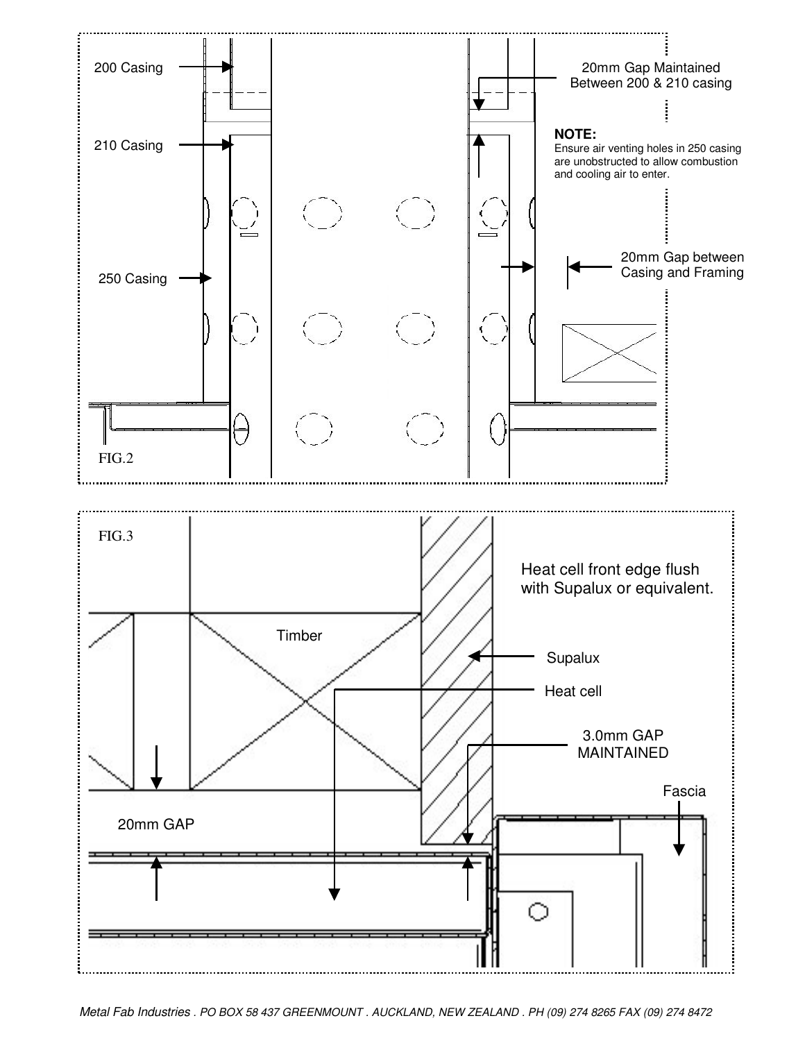

Metal Fab Industries . PO BOX 58 437 GREENMOUNT . AUCKLAND, NEW ZEALAND . PH (09) 274 8265 FAX (09) 274 8472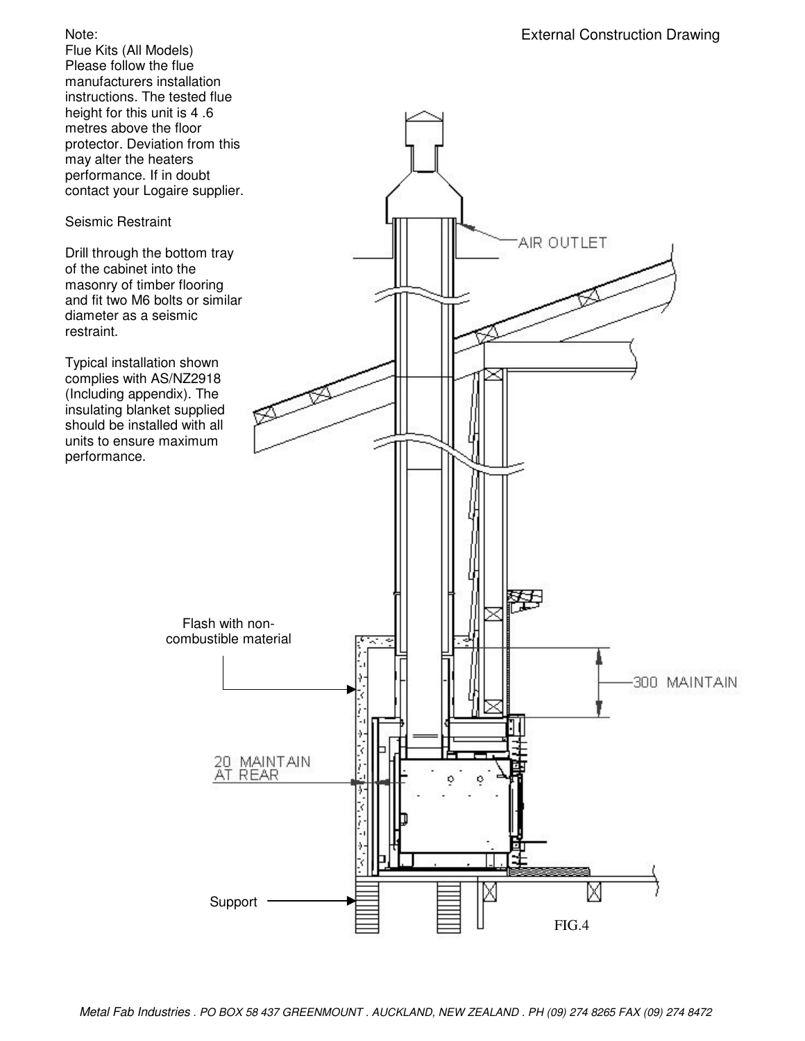## Note:

Flue Kits (All Models) Please follow the flue manufacturers installation instructions. The tested flue height for this unit is 4 .6 metres above the floor protector. Deviation from this may alter the heaters performance. If in doubt contact your Logaire supplier.

## Seismic Restraint

Drill through the bottom tray of the cabinet into the masonry of timber flooring and fit two M6 bolts or similar diameter as a seismic restraint.

Typical installation shown complies with AS/NZ2918 (Including appendix). The insulating blanket supplied should be installed with all units to ensure maximum performance.